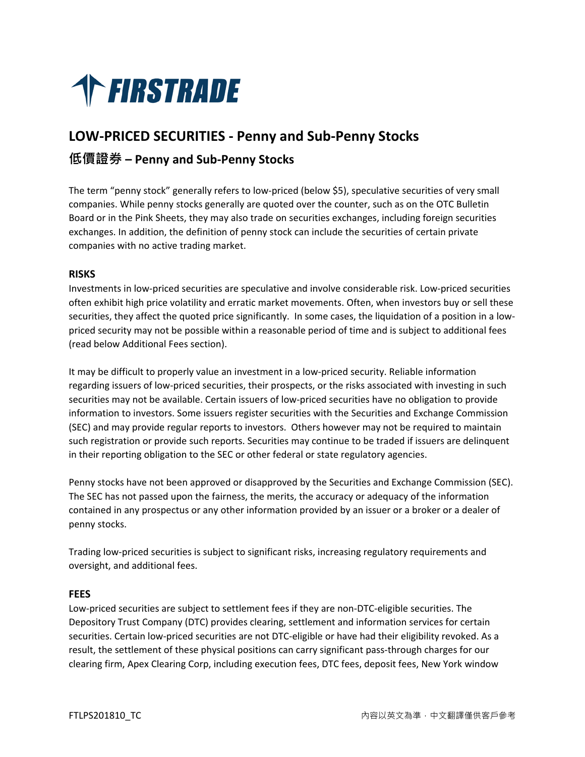

# **LOW‐PRICED SECURITIES ‐ Penny and Sub‐Penny Stocks 低價證券 – Penny and Sub‐Penny Stocks**

The term "penny stock" generally refers to low‐priced (below \$5), speculative securities of very small companies. While penny stocks generally are quoted over the counter, such as on the OTC Bulletin Board or in the Pink Sheets, they may also trade on securities exchanges, including foreign securities exchanges. In addition, the definition of penny stock can include the securities of certain private companies with no active trading market.

# **RISKS**

Investments in low‐priced securities are speculative and involve considerable risk. Low‐priced securities often exhibit high price volatility and erratic market movements. Often, when investors buy or sell these securities, they affect the quoted price significantly. In some cases, the liquidation of a position in a lowpriced security may not be possible within a reasonable period of time and is subject to additional fees (read below Additional Fees section).

It may be difficult to properly value an investment in a low-priced security. Reliable information regarding issuers of low‐priced securities, their prospects, or the risks associated with investing in such securities may not be available. Certain issuers of low-priced securities have no obligation to provide information to investors. Some issuers register securities with the Securities and Exchange Commission (SEC) and may provide regular reports to investors. Others however may not be required to maintain such registration or provide such reports. Securities may continue to be traded if issuers are delinquent in their reporting obligation to the SEC or other federal or state regulatory agencies.

Penny stocks have not been approved or disapproved by the Securities and Exchange Commission (SEC). The SEC has not passed upon the fairness, the merits, the accuracy or adequacy of the information contained in any prospectus or any other information provided by an issuer or a broker or a dealer of penny stocks.

Trading low‐priced securities is subject to significant risks, increasing regulatory requirements and oversight, and additional fees.

# **FEES**

Low‐priced securities are subject to settlement fees if they are non‐DTC‐eligible securities. The Depository Trust Company (DTC) provides clearing, settlement and information services for certain securities. Certain low-priced securities are not DTC-eligible or have had their eligibility revoked. As a result, the settlement of these physical positions can carry significant pass-through charges for our clearing firm, Apex Clearing Corp, including execution fees, DTC fees, deposit fees, New York window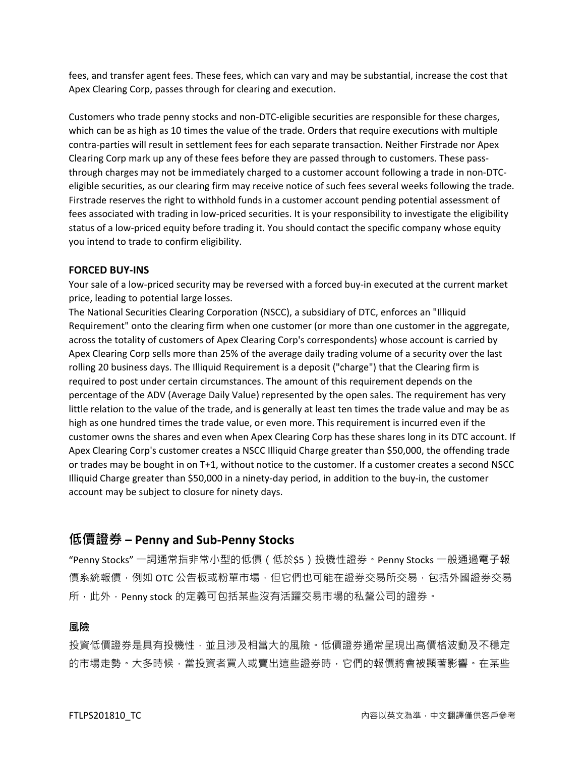fees, and transfer agent fees. These fees, which can vary and may be substantial, increase the cost that Apex Clearing Corp, passes through for clearing and execution.

Customers who trade penny stocks and non‐DTC‐eligible securities are responsible for these charges, which can be as high as 10 times the value of the trade. Orders that require executions with multiple contra‐parties will result in settlement fees for each separate transaction. Neither Firstrade nor Apex Clearing Corp mark up any of these fees before they are passed through to customers. These pass‐ through charges may not be immediately charged to a customer account following a trade in non‐DTC‐ eligible securities, as our clearing firm may receive notice of such fees several weeks following the trade. Firstrade reserves the right to withhold funds in a customer account pending potential assessment of fees associated with trading in low-priced securities. It is your responsibility to investigate the eligibility status of a low‐priced equity before trading it. You should contact the specific company whose equity you intend to trade to confirm eligibility.

### **FORCED BUY‐INS**

Your sale of a low‐priced security may be reversed with a forced buy‐in executed at the current market price, leading to potential large losses.

The National Securities Clearing Corporation (NSCC), a subsidiary of DTC, enforces an "Illiquid Requirement" onto the clearing firm when one customer (or more than one customer in the aggregate, across the totality of customers of Apex Clearing Corp's correspondents) whose account is carried by Apex Clearing Corp sells more than 25% of the average daily trading volume of a security over the last rolling 20 business days. The Illiquid Requirement is a deposit ("charge") that the Clearing firm is required to post under certain circumstances. The amount of this requirement depends on the percentage of the ADV (Average Daily Value) represented by the open sales. The requirement has very little relation to the value of the trade, and is generally at least ten times the trade value and may be as high as one hundred times the trade value, or even more. This requirement is incurred even if the customer owns the shares and even when Apex Clearing Corp has these shares long in its DTC account. If Apex Clearing Corp's customer creates a NSCC Illiquid Charge greater than \$50,000, the offending trade or trades may be bought in on T+1, without notice to the customer. If a customer creates a second NSCC Illiquid Charge greater than \$50,000 in a ninety‐day period, in addition to the buy‐in, the customer account may be subject to closure for ninety days.

# **低價證券 – Penny and Sub‐Penny Stocks**

"Penny Stocks" 一詞通常指非常小型的低價 (低於\$5)投機性證券 · Penny Stocks 一般通過電子報 價系統報價,例如 OTC 公告板或粉單市場,但它們也可能在證券交易所交易,包括外國證券交易 所,此外,Penny stock 的定義可包括某些沒有活躍交易市場的私營公司的證券。

# **風險**

投資低價證券是具有投機性,並且涉及相當大的風險。低價證券通常呈現出高價格波動及不穩定 的市場走勢。大多時候,當投資者買入或賣出這些證券時,它們的報價將會被顯著影響。在某些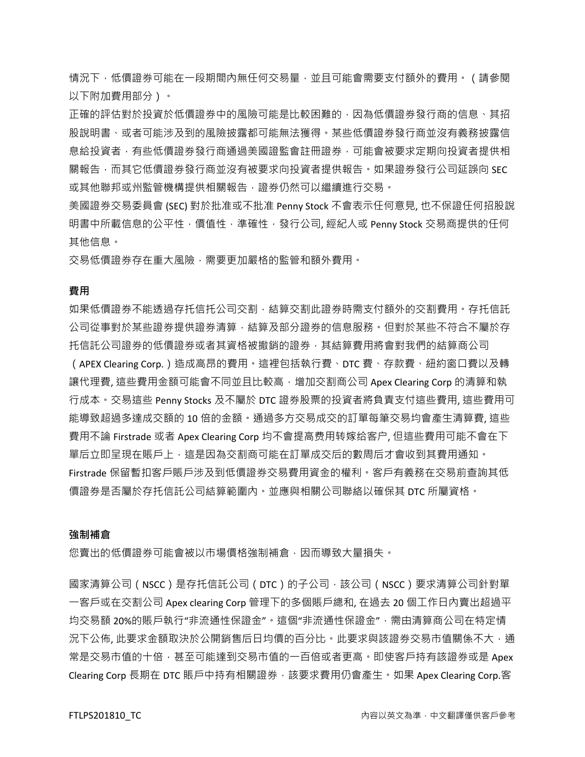情況下,低價證券可能在⼀段期間內無任何交易量,並且可能會需要⽀付額外的費⽤。(請參閱 以下附加費用部分)。

正確的評估對於投資於低價證券中的風險可能是比較困難的,因為低價證券發行商的信息、其招 股說明書、或者可能涉及到的風險披露都可能無法獲得。某些低價證券發行商並沒有義務披露信 息給投資者,有些低價證券發行商通過美國證監會註冊證券,可能會被要求定期向投資者提供相 關報告,而其它低價證券發行商並沒有被要求向投資者提供報告。如果證券發行公司延誤向 SEC 或其他聯邦或州監管機構提供相關報告,證券仍然可以繼續進行交易。

美國證券交易委員會 (SEC) 對於批准或不批准 Penny Stock 不會表示任何意見, 也不保證任何招股說 明書中所載信息的公平性,價值性,準確性,發行公司,經紀人或 Penny Stock 交易商提供的任何 其他信息。

交易低價證券存在重大風險,需要更加嚴格的監管和額外費用。

### **費用**

如果低價證券不能透過存托信托公司交割,結算交割此證券時需支付額外的交割費用。存托信託 公司從事對於某些證券提供證券清算,結算及部分證券的信息服務。但對於某些不符合不屬於存 托信託公司證券的低價證券或者其資格被撤銷的證券,其結算費⽤將會對我們的結算商公司 (APEX Clearing Corp.)造成高昂的費⽤。這裡包括執行費、DTC 費、存款費、紐約窗口費以及轉 讓代理費, 這些費用金額可能會不同並且比較高, 增加交割商公司 Apex Clearing Corp 的清算和執 行成本。交易這些 Penny Stocks 及不屬於 DTC 證券股票的投資者將負責支付這些費用, 這些費用可 能導致超過多達成交額的 10 倍的金額。通過多方交易成交的訂單每筆交易均會產生清算費, 這些 費用不論 Firstrade 或者 Apex Clearing Corp 均不會提高费用转嫁给客户, 但這些費用可能不會在下 單后立即呈現在賬戶上,這是因為交割商可能在訂單成交后的數周后才會收到其費用通知。 Firstrade 保留暫扣客戶賬戶涉及到低價證券交易費用資金的權利。客戶有義務在交易前查詢其低 價證券是否屬於存托信託公司結算範圍內。並應與相關公司聯絡以確保其 DTC 所屬資格。

#### **強制補倉**

您賣出的低價證券可能會被以市場價格強制補倉,因而導致大量損失。

國家清算公司(NSCC)是存托信託公司(DTC)的子公司,該公司(NSCC)要求清算公司針對單 一客戶或在交割公司 Apex clearing Corp 管理下的多個賬戶總和, 在過去 20 個工作日內賣出超過平 均交易額 20%的賬戶執行"非流通性保證金"。這個"非流通性保證金",需由清算商公司在特定情 況下公佈, 此要求金額取決於公開銷售后日均價的百分比。此要求與該證券交易市值關係不大,通 常是交易市值的十倍,甚至可能達到交易市值的一百倍或者更高。即使客戶持有該證券或是 Apex Clearing Corp 長期在 DTC 賬戶中持有相關證券,該要求費用仍會產生。如果 Apex Clearing Corp.客